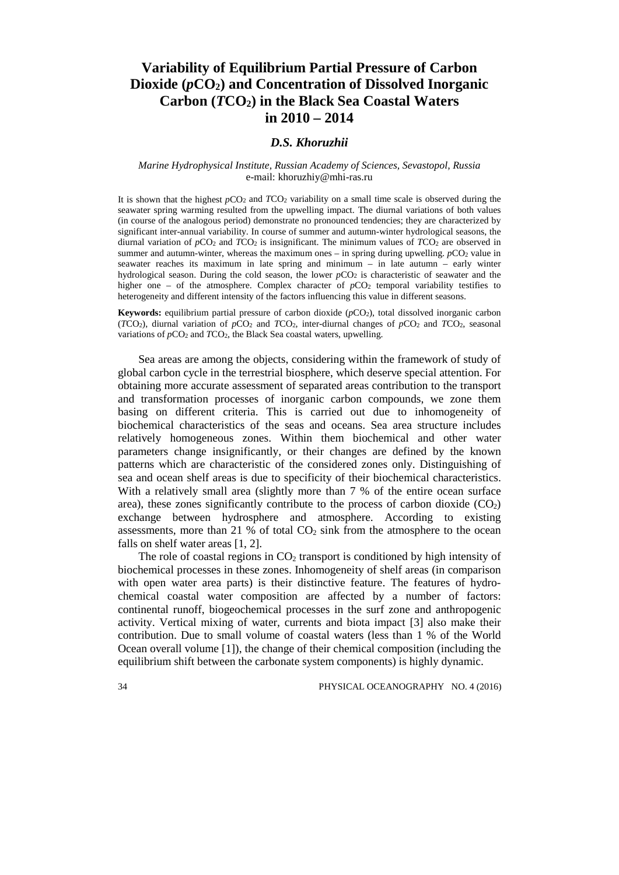# **Variability of Equilibrium Partial Pressure of Carbon Dioxide (***p***CO2) and Concentration of Dissolved Inorganic Carbon (***T***CO2) in the Black Sea Coastal Waters in 2010 – 2014**

## *D.S. Khoruzhii*

### *Marine Hydrophysical Institute, Russian Academy of Sciences, Sevastopol, Russia* e-mail: khoruzhiy@mhi-ras.ru

It is shown that the highest  $pCO_2$  and  $TCO_2$  variability on a small time scale is observed during the seawater spring warming resulted from the upwelling impact. The diurnal variations of both values (in course of the analogous period) demonstrate no pronounced tendencies; they are characterized by significant inter-annual variability. In course of summer and autumn-winter hydrological seasons, the diurnal variation of *p*CO2 and *T*CO2 is insignificant. The minimum values of *T*CO2 are observed in summer and autumn-winter, whereas the maximum ones – in spring during upwelling.  $pCO<sub>2</sub>$  value in seawater reaches its maximum in late spring and minimum – in late autumn – early winter hydrological season. During the cold season, the lower *pCO*<sub>2</sub> is characteristic of seawater and the higher one – of the atmosphere. Complex character of  $pCO<sub>2</sub>$  temporal variability testifies to heterogeneity and different intensity of the factors influencing this value in different seasons.

**Keywords:** equilibrium partial pressure of carbon dioxide (*p*CO2), total dissolved inorganic carbon ( $TCO<sub>2</sub>$ ), diurnal variation of  $pCO<sub>2</sub>$  and  $TCO<sub>2</sub>$ , inter-diurnal changes of  $pCO<sub>2</sub>$  and  $TCO<sub>2</sub>$ , seasonal variations of  $pCO_2$  and  $TCO_2$ , the Black Sea coastal waters, upwelling.

Sea areas are among the objects, considering within the framework of study of global carbon cycle in the terrestrial biosphere, which deserve special attention. For obtaining more accurate assessment of separated areas contribution to the transport and transformation processes of inorganic carbon compounds, we zone them basing on different criteria. This is carried out due to inhomogeneity of biochemical characteristics of the seas and oceans. Sea area structure includes relatively homogeneous zones. Within them biochemical and other water parameters change insignificantly, or their changes are defined by the known patterns which are characteristic of the considered zones only. Distinguishing of sea and ocean shelf areas is due to specificity of their biochemical characteristics. With a relatively small area (slightly more than 7 % of the entire ocean surface area), these zones significantly contribute to the process of carbon dioxide  $(CO<sub>2</sub>)$ exchange between hydrosphere and atmosphere. According to existing assessments, more than 21 % of total  $CO<sub>2</sub>$  sink from the atmosphere to the ocean falls on shelf water areas [1, 2].

The role of coastal regions in  $CO<sub>2</sub>$  transport is conditioned by high intensity of biochemical processes in these zones. Inhomogeneity of shelf areas (in comparison with open water area parts) is their distinctive feature. The features of hydrochemical coastal water composition are affected by a number of factors: continental runoff, biogeochemical processes in the surf zone and anthropogenic activity. Vertical mixing of water, currents and biota impact [3] also make their contribution. Due to small volume of coastal waters (less than 1 % of the World Ocean overall volume [1]), the change of their chemical composition (including the equilibrium shift between the carbonate system components) is highly dynamic.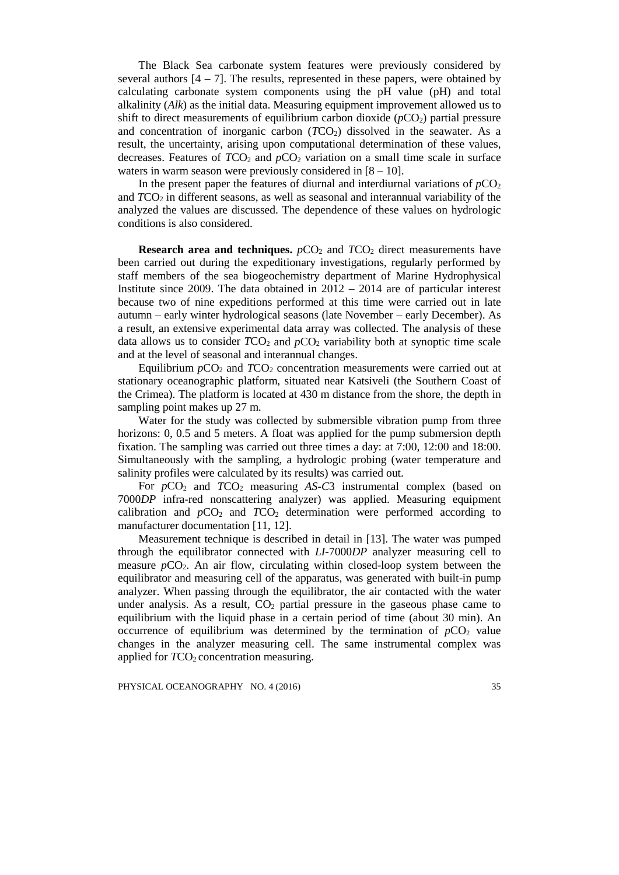The Black Sea carbonate system features were previously considered by several authors  $[4 - 7]$ . The results, represented in these papers, were obtained by calculating carbonate system components using the pH value (pH) and total alkalinity (*Alk*) as the initial data. Measuring equipment improvement allowed us to shift to direct measurements of equilibrium carbon dioxide  $(pCO<sub>2</sub>)$  partial pressure and concentration of inorganic carbon  $(TCO<sub>2</sub>)$  dissolved in the seawater. As a result, the uncertainty, arising upon computational determination of these values, decreases. Features of  $TCO<sub>2</sub>$  and  $pCO<sub>2</sub>$  variation on a small time scale in surface waters in warm season were previously considered in  $[8 - 10]$ .

In the present paper the features of diurnal and interdiurnal variations of  $pCO<sub>2</sub>$ and *T*CO2 in different seasons, as well as seasonal and interannual variability of the analyzed the values are discussed. The dependence of these values on hydrologic conditions is also considered.

**Research** area and **techniques.**  $pCO_2$  and  $TCO_2$  direct measurements have been carried out during the expeditionary investigations, regularly performed by staff members of the sea biogeochemistry department of Marine Hydrophysical Institute since 2009. The data obtained in  $2012 - 2014$  are of particular interest because two of nine expeditions performed at this time were carried out in late autumn – early winter hydrological seasons (late November – early December). As a result, an extensive experimental data array was collected. The analysis of these data allows us to consider  $TCO_2$  and  $pCO_2$  variability both at synoptic time scale and at the level of seasonal and interannual changes.

Equilibrium  $pCO_2$  and  $TCO_2$  concentration measurements were carried out at stationary oceanographic platform, situated near Katsiveli (the Southern Coast of the Crimea). The platform is located at 430 m distance from the shore, the depth in sampling point makes up 27 m.

Water for the study was collected by submersible vibration pump from three horizons: 0, 0.5 and 5 meters. A float was applied for the pump submersion depth fixation. The sampling was carried out three times a day: at 7:00, 12:00 and 18:00. Simultaneously with the sampling, a hydrologic probing (water temperature and salinity profiles were calculated by its results) was carried out.

For *p*CO<sub>2</sub> and *TCO*<sub>2</sub> measuring *AS-C*3 instrumental complex (based on 7000*DP* infra-red nonscattering analyzer) was applied. Measuring equipment calibration and  $pCO_2$  and  $TCO_2$  determination were performed according to manufacturer documentation [11, 12].

Measurement technique is described in detail in [13]. The water was pumped through the equilibrator connected with *LI-*7000*DP* analyzer measuring cell to measure *pCO*<sub>2</sub>. An air flow, circulating within closed-loop system between the equilibrator and measuring cell of the apparatus, was generated with built-in pump analyzer. When passing through the equilibrator, the air contacted with the water under analysis. As a result,  $CO<sub>2</sub>$  partial pressure in the gaseous phase came to equilibrium with the liquid phase in a certain period of time (about 30 min). An occurrence of equilibrium was determined by the termination of  $pCO<sub>2</sub>$  value changes in the analyzer measuring cell. The same instrumental complex was applied for  $TCO<sub>2</sub>$  concentration measuring.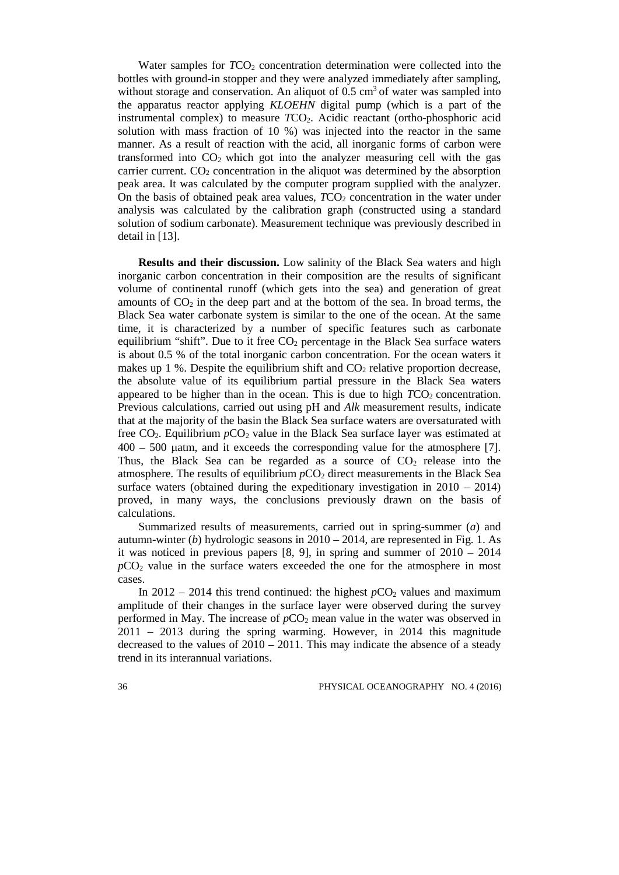Water samples for *TCO*<sub>2</sub> concentration determination were collected into the bottles with ground-in stopper and they were analyzed immediately after sampling, without storage and conservation. An aliquot of  $0.5 \text{ cm}^3$  of water was sampled into the apparatus reactor applying *KLOEHN* digital pump (which is a part of the instrumental complex) to measure *TCO*<sub>2</sub>. Acidic reactant (ortho-phosphoric acid solution with mass fraction of 10 %) was injected into the reactor in the same manner. As a result of reaction with the acid, all inorganic forms of carbon were transformed into  $CO<sub>2</sub>$  which got into the analyzer measuring cell with the gas carrier current.  $CO<sub>2</sub>$  concentration in the aliquot was determined by the absorption peak area. It was calculated by the computer program supplied with the analyzer. On the basis of obtained peak area values,  $TCO<sub>2</sub>$  concentration in the water under analysis was calculated by the calibration graph (constructed using a standard solution of sodium carbonate). Measurement technique was previously described in detail in [13].

**Results and their discussion.** Low salinity of the Black Sea waters and high inorganic carbon concentration in their composition are the results of significant volume of continental runoff (which gets into the sea) and generation of great amounts of  $CO<sub>2</sub>$  in the deep part and at the bottom of the sea. In broad terms, the Black Sea water carbonate system is similar to the one of the ocean. At the same time, it is characterized by a number of specific features such as carbonate equilibrium "shift". Due to it free  $CO<sub>2</sub>$  percentage in the Black Sea surface waters is about 0.5 % of the total inorganic carbon concentration. For the ocean waters it makes up 1 %. Despite the equilibrium shift and  $CO<sub>2</sub>$  relative proportion decrease, the absolute value of its equilibrium partial pressure in the Black Sea waters appeared to be higher than in the ocean. This is due to high  $TCO<sub>2</sub>$  concentration. Previous calculations, carried out using pH and *Alk* measurement results, indicate that at the majority of the basin the Black Sea surface waters are oversaturated with free CO2. Equilibrium *p*CO2 value in the Black Sea surface layer was estimated at 400 – 500 µatm, and it exceeds the corresponding value for the atmosphere [7]. Thus, the Black Sea can be regarded as a source of  $CO<sub>2</sub>$  release into the atmosphere. The results of equilibrium  $pCO<sub>2</sub>$  direct measurements in the Black Sea surface waters (obtained during the expeditionary investigation in  $2010 - 2014$ ) proved, in many ways, the conclusions previously drawn on the basis of calculations.

Summarized results of measurements, carried out in spring-summer (*a*) and autumn-winter (*b*) hydrologic seasons in 2010 – 2014, are represented in Fig. 1. As it was noticed in previous papers [8, 9], in spring and summer of 2010 – 2014  $pCO<sub>2</sub>$  value in the surface waters exceeded the one for the atmosphere in most cases.

In  $2012 - 2014$  this trend continued: the highest  $pCO<sub>2</sub>$  values and maximum amplitude of their changes in the surface layer were observed during the survey performed in May. The increase of  $pCO<sub>2</sub>$  mean value in the water was observed in 2011 – 2013 during the spring warming. However, in 2014 this magnitude decreased to the values of  $2010 - 2011$ . This may indicate the absence of a steady trend in its interannual variations.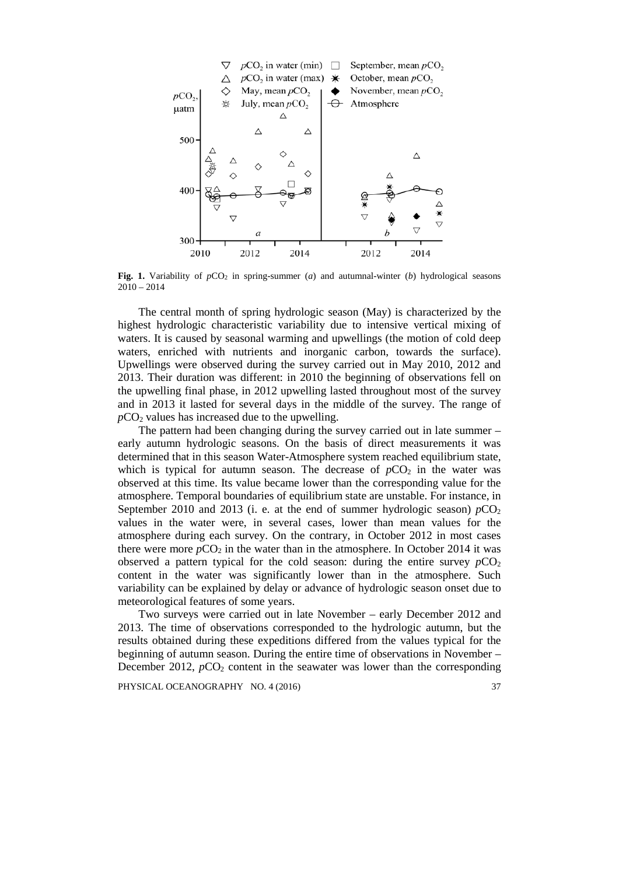

**Fig. 1.** Variability of  $pCO<sub>2</sub>$  in spring-summer (*a*) and autumnal-winter (*b*) hydrological seasons  $2010 - 2014$ 

The central month of spring hydrologic season (May) is characterized by the highest hydrologic characteristic variability due to intensive vertical mixing of waters. It is caused by seasonal warming and upwellings (the motion of cold deep waters, enriched with nutrients and inorganic carbon, towards the surface). Upwellings were observed during the survey carried out in May 2010, 2012 and 2013. Their duration was different: in 2010 the beginning of observations fell on the upwelling final phase, in 2012 upwelling lasted throughout most of the survey and in 2013 it lasted for several days in the middle of the survey. The range of  $pCO<sub>2</sub>$  values has increased due to the upwelling.

The pattern had been changing during the survey carried out in late summer – early autumn hydrologic seasons. On the basis of direct measurements it was determined that in this season Water-Atmosphere system reached equilibrium state, which is typical for autumn season. The decrease of  $pCO<sub>2</sub>$  in the water was observed at this time. Its value became lower than the corresponding value for the atmosphere. Temporal boundaries of equilibrium state are unstable. For instance, in September 2010 and 2013 (i. e. at the end of summer hydrologic season)  $pCO<sub>2</sub>$ values in the water were, in several cases, lower than mean values for the atmosphere during each survey. On the contrary, in October 2012 in most cases there were more  $pCO<sub>2</sub>$  in the water than in the atmosphere. In October 2014 it was observed a pattern typical for the cold season: during the entire survey  $pCO<sub>2</sub>$ content in the water was significantly lower than in the atmosphere. Such variability can be explained by delay or advance of hydrologic season onset due to meteorological features of some years.

Two surveys were carried out in late November – early December 2012 and 2013. The time of observations corresponded to the hydrologic autumn, but the results obtained during these expeditions differed from the values typical for the beginning of autumn season. During the entire time of observations in November – December 2012,  $pCO_2$  content in the seawater was lower than the corresponding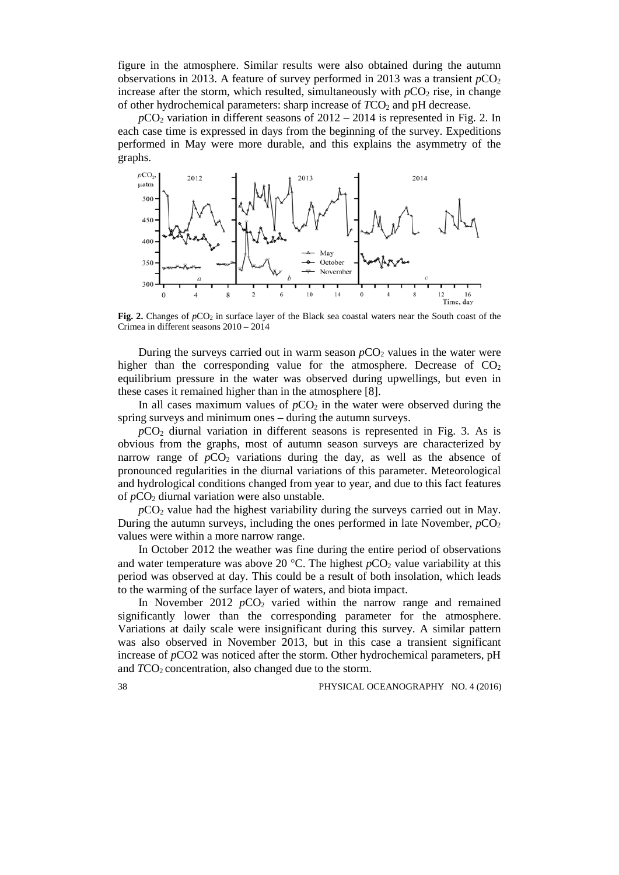figure in the atmosphere. Similar results were also obtained during the autumn observations in 2013. A feature of survey performed in 2013 was a transient  $pCO<sub>2</sub>$ increase after the storm, which resulted, simultaneously with  $pCO<sub>2</sub>$  rise, in change of other hydrochemical parameters: sharp increase of  $TCO<sub>2</sub>$  and pH decrease.

 $pCO<sub>2</sub>$  variation in different seasons of  $2012 - 2014$  is represented in Fig. 2. In each case time is expressed in days from the beginning of the survey. Expeditions performed in May were more durable, and this explains the asymmetry of the graphs.



**Fig. 2.** Changes of  $pCO_2$  in surface layer of the Black sea coastal waters near the South coast of the Crimea in different seasons 2010 – 2014

During the surveys carried out in warm season *pCO*<sub>2</sub> values in the water were higher than the corresponding value for the atmosphere. Decrease of  $CO<sub>2</sub>$ equilibrium pressure in the water was observed during upwellings, but even in these cases it remained higher than in the atmosphere [8].

In all cases maximum values of  $pCO<sub>2</sub>$  in the water were observed during the spring surveys and minimum ones – during the autumn surveys.

 $pCO<sub>2</sub>$  diurnal variation in different seasons is represented in Fig. 3. As is obvious from the graphs, most of autumn season surveys are characterized by narrow range of  $pCO<sub>2</sub>$  variations during the day, as well as the absence of pronounced regularities in the diurnal variations of this parameter. Meteorological and hydrological conditions changed from year to year, and due to this fact features of *p*CO<sub>2</sub> diurnal variation were also unstable.

 $pCO<sub>2</sub>$  value had the highest variability during the surveys carried out in May. During the autumn surveys, including the ones performed in late November,  $pCO<sub>2</sub>$ values were within a more narrow range.

In October 2012 the weather was fine during the entire period of observations and water temperature was above 20 °C. The highest  $pCO_2$  value variability at this period was observed at day. This could be a result of both insolation, which leads to the warming of the surface layer of waters, and biota impact.

In November 2012  $pCO<sub>2</sub>$  varied within the narrow range and remained significantly lower than the corresponding parameter for the atmosphere. Variations at daily scale were insignificant during this survey. A similar pattern was also observed in November 2013, but in this case a transient significant increase of *p*CO2 was noticed after the storm. Other hydrochemical parameters, pH and *TCO*<sub>2</sub> concentration, also changed due to the storm.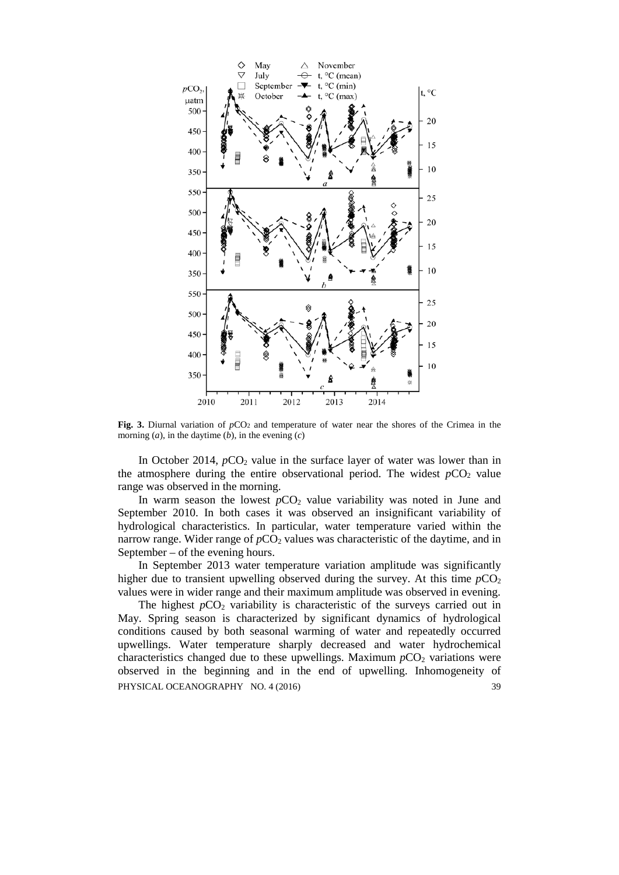

Fig. 3. Diurnal variation of  $pCO<sub>2</sub>$  and temperature of water near the shores of the Crimea in the morning (*a*), in the daytime (*b*), in the evening (*c*)

In October 2014,  $pCO_2$  value in the surface layer of water was lower than in the atmosphere during the entire observational period. The widest  $pCO<sub>2</sub>$  value range was observed in the morning.

In warm season the lowest  $pCO<sub>2</sub>$  value variability was noted in June and September 2010. In both cases it was observed an insignificant variability of hydrological characteristics. In particular, water temperature varied within the narrow range. Wider range of  $pCO<sub>2</sub>$  values was characteristic of the daytime, and in September – of the evening hours.

In September 2013 water temperature variation amplitude was significantly higher due to transient upwelling observed during the survey. At this time  $pCO<sub>2</sub>$ values were in wider range and their maximum amplitude was observed in evening.

The highest  $pCO<sub>2</sub>$  variability is characteristic of the surveys carried out in May. Spring season is characterized by significant dynamics of hydrological conditions caused by both seasonal warming of water and repeatedly occurred upwellings. Water temperature sharply decreased and water hydrochemical characteristics changed due to these upwellings. Maximum  $pCO<sub>2</sub>$  variations were observed in the beginning and in the end of upwelling. Inhomogeneity of PHYSICAL OCEANOGRAPHY NO. 4 (2016) 39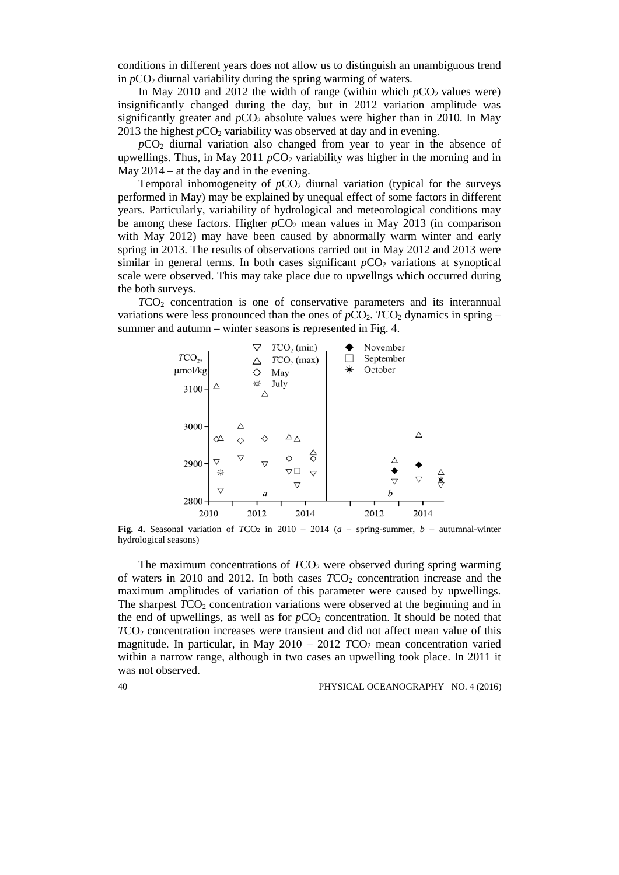conditions in different years does not allow us to distinguish an unambiguous trend in  $pCO<sub>2</sub>$  diurnal variability during the spring warming of waters.

In May 2010 and 2012 the width of range (within which  $pCO_2$  values were) insignificantly changed during the day, but in 2012 variation amplitude was significantly greater and  $pCO<sub>2</sub>$  absolute values were higher than in 2010. In May 2013 the highest  $pCO_2$  variability was observed at day and in evening.

 $pCO<sub>2</sub>$  diurnal variation also changed from year to year in the absence of upwellings. Thus, in May 2011  $pCO<sub>2</sub>$  variability was higher in the morning and in May 2014 – at the day and in the evening.

Temporal inhomogeneity of  $pCO<sub>2</sub>$  diurnal variation (typical for the surveys performed in May) may be explained by unequal effect of some factors in different years. Particularly, variability of hydrological and meteorological conditions may be among these factors. Higher  $pCO<sub>2</sub>$  mean values in May 2013 (in comparison with May 2012) may have been caused by abnormally warm winter and early spring in 2013. The results of observations carried out in May 2012 and 2013 were similar in general terms. In both cases significant  $pCO<sub>2</sub>$  variations at synoptical scale were observed. This may take place due to upwellngs which occurred during the both surveys.

*T*CO2 concentration is one of conservative parameters and its interannual variations were less pronounced than the ones of  $pCO<sub>2</sub>$ . *TCO*<sub>2</sub> dynamics in spring – summer and autumn – winter seasons is represented in Fig. 4.



**Fig. 4.** Seasonal variation of  $TCO<sub>2</sub>$  in 2010 – 2014 ( $a$  – spring-summer,  $b$  – autumnal-winter hydrological seasons)

The maximum concentrations of *TCO*<sub>2</sub> were observed during spring warming of waters in 2010 and 2012. In both cases  $TCO<sub>2</sub>$  concentration increase and the maximum amplitudes of variation of this parameter were caused by upwellings. The sharpest *TCO*<sub>2</sub> concentration variations were observed at the beginning and in the end of upwellings, as well as for  $pCO_2$  concentration. It should be noted that *TCO*<sub>2</sub> concentration increases were transient and did not affect mean value of this magnitude. In particular, in May  $2010 - 2012$  *TCO*<sub>2</sub> mean concentration varied within a narrow range, although in two cases an upwelling took place. In 2011 it was not observed.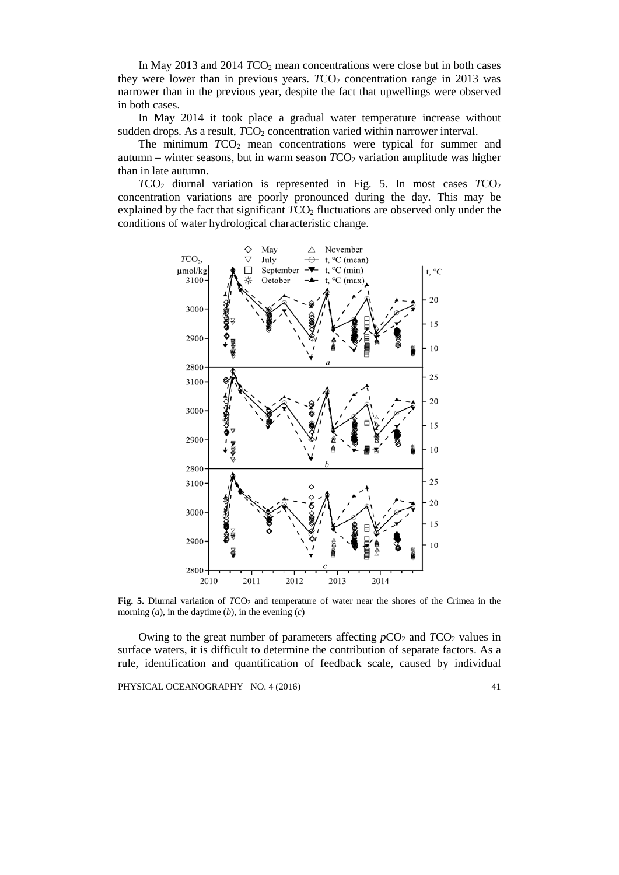In May 2013 and 2014 *TCO*<sub>2</sub> mean concentrations were close but in both cases they were lower than in previous years.  $TCO<sub>2</sub>$  concentration range in 2013 was narrower than in the previous year, despite the fact that upwellings were observed in both cases.

In May 2014 it took place a gradual water temperature increase without sudden drops. As a result, *TCO*<sub>2</sub> concentration varied within narrower interval.

The minimum *TCO*<sub>2</sub> mean concentrations were typical for summer and autumn – winter seasons, but in warm season *T*CO2 variation amplitude was higher than in late autumn.

*T*CO2 diurnal variation is represented in Fig. 5. In most cases *T*CO2 concentration variations are poorly pronounced during the day. This may be explained by the fact that significant *TCO*<sub>2</sub> fluctuations are observed only under the conditions of water hydrological characteristic change.



**Fig. 5.** Diurnal variation of *TCO*<sub>2</sub> and temperature of water near the shores of the Crimea in the morning  $(a)$ , in the daytime  $(b)$ , in the evening  $(c)$ 

Owing to the great number of parameters affecting  $pCO_2$  and  $TCO_2$  values in surface waters, it is difficult to determine the contribution of separate factors. As a rule, identification and quantification of feedback scale, caused by individual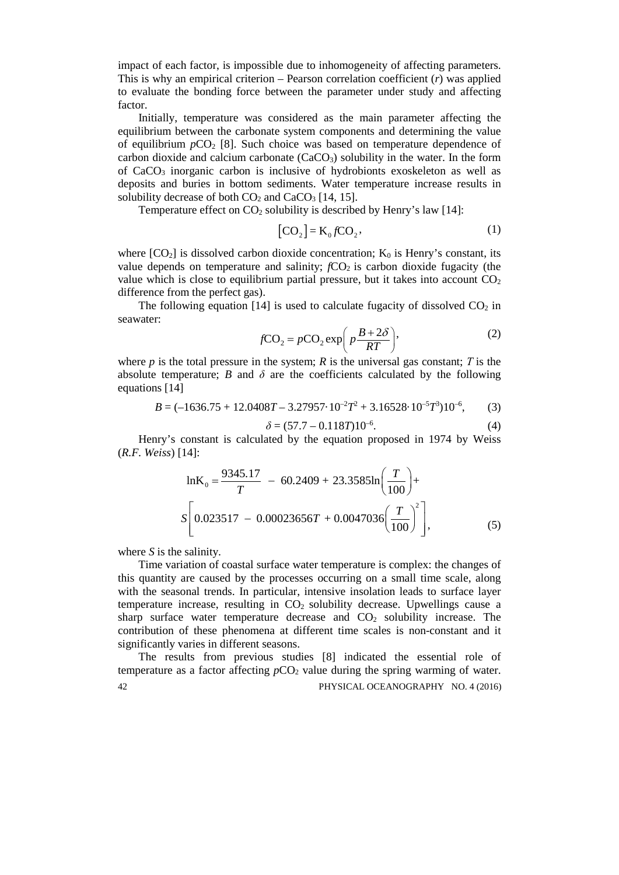impact of each factor, is impossible due to inhomogeneity of affecting parameters. This is why an empirical criterion – Pearson correlation coefficient (*r*) was applied to evaluate the bonding force between the parameter under study and affecting factor.

Initially, temperature was considered as the main parameter affecting the equilibrium between the carbonate system components and determining the value of equilibrium  $pCO_2$  [8]. Such choice was based on temperature dependence of carbon dioxide and calcium carbonate  $(CaCO<sub>3</sub>)$  solubility in the water. In the form of CaCO3 inorganic carbon is inclusive of hydrobionts exoskeleton as well as deposits and buries in bottom sediments. Water temperature increase results in solubility decrease of both  $CO<sub>2</sub>$  and  $CaCO<sub>3</sub>$  [14, 15].

Temperature effect on  $CO<sub>2</sub>$  solubility is described by Henry's law [14]:

$$
[\mathbf{CO}_2] = \mathbf{K}_0 f \mathbf{CO}_2,\tag{1}
$$

where  $[CO<sub>2</sub>]$  is dissolved carbon dioxide concentration;  $K<sub>0</sub>$  is Henry's constant, its value depends on temperature and salinity;  $fCO<sub>2</sub>$  is carbon dioxide fugacity (the value which is close to equilibrium partial pressure, but it takes into account  $CO<sub>2</sub>$ difference from the perfect gas).

The following equation [14] is used to calculate fugacity of dissolved  $CO<sub>2</sub>$  in seawater:

$$
fCO_2 = pCO_2 \exp\left(p\frac{B+2\delta}{RT}\right),\tag{2}
$$

where *p* is the total pressure in the system; *R* is the universal gas constant; *T* is the absolute temperature; *B* and  $\delta$  are the coefficients calculated by the following equations [14]

$$
B = (-1636.75 + 12.0408T - 3.27957 \cdot 10^{-2}T^2 + 3.16528 \cdot 10^{-5}T^3)10^{-6},\tag{3}
$$

$$
\delta = (57.7 - 0.118T)10^{-6}.\tag{4}
$$

Henry's constant is calculated by the equation proposed in 1974 by Weiss (*R.F. Weiss*) [14]:

$$
\ln K_0 = \frac{9345.17}{T} - 60.2409 + 23.3585 \ln \left( \frac{T}{100} \right) +
$$
  

$$
S \left[ 0.023517 - 0.00023656T + 0.0047036 \left( \frac{T}{100} \right)^2 \right],
$$
 (5)

where *S* is the salinity.

Time variation of coastal surface water temperature is complex: the changes of this quantity are caused by the processes occurring on a small time scale, along with the seasonal trends. In particular, intensive insolation leads to surface layer temperature increase, resulting in  $CO<sub>2</sub>$  solubility decrease. Upwellings cause a sharp surface water temperature decrease and  $CO<sub>2</sub>$  solubility increase. The contribution of these phenomena at different time scales is non-constant and it significantly varies in different seasons.

The results from previous studies [8] indicated the essential role of temperature as a factor affecting  $pCO<sub>2</sub>$  value during the spring warming of water. 42 PHYSICAL OCEANOGRAPHY NO. 4 (2016)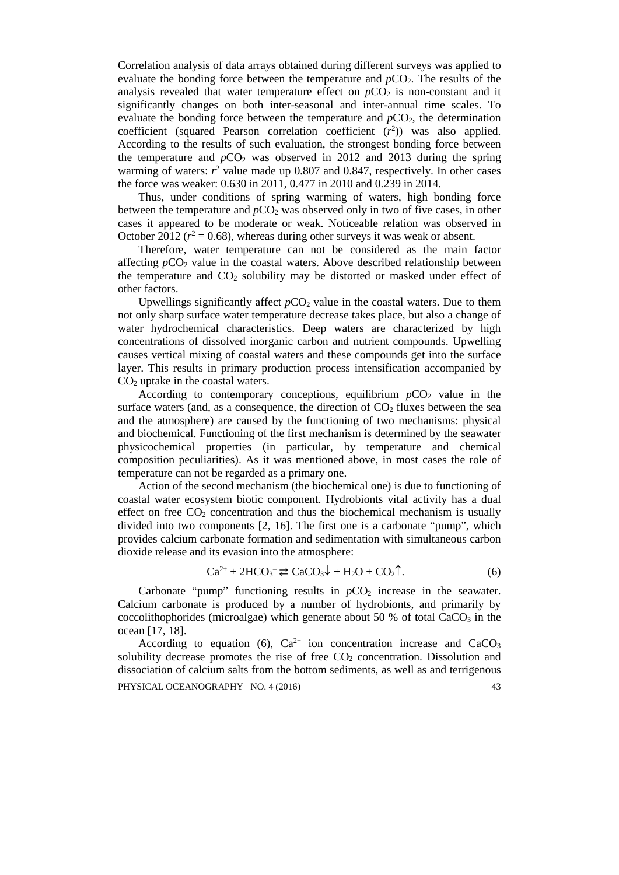Correlation analysis of data arrays obtained during different surveys was applied to evaluate the bonding force between the temperature and *pCO*<sub>2</sub>. The results of the analysis revealed that water temperature effect on  $pCO<sub>2</sub>$  is non-constant and it significantly changes on both inter-seasonal and inter-annual time scales. To evaluate the bonding force between the temperature and  $pCO<sub>2</sub>$ , the determination coefficient (squared Pearson correlation coefficient  $(r^2)$ ) was also applied. According to the results of such evaluation, the strongest bonding force between the temperature and  $pCO<sub>2</sub>$  was observed in 2012 and 2013 during the spring warming of waters:  $r^2$  value made up 0.807 and 0.847, respectively. In other cases the force was weaker: 0.630 in 2011, 0.477 in 2010 and 0.239 in 2014.

Thus, under conditions of spring warming of waters, high bonding force between the temperature and  $pCO<sub>2</sub>$  was observed only in two of five cases, in other cases it appeared to be moderate or weak. Noticeable relation was observed in October 2012 ( $r^2 = 0.68$ ), whereas during other surveys it was weak or absent.

Therefore, water temperature can not be considered as the main factor affecting *p*CO<sub>2</sub> value in the coastal waters. Above described relationship between the temperature and  $CO<sub>2</sub>$  solubility may be distorted or masked under effect of other factors.

Upwellings significantly affect  $pCO_2$  value in the coastal waters. Due to them not only sharp surface water temperature decrease takes place, but also a change of water hydrochemical characteristics. Deep waters are characterized by high concentrations of dissolved inorganic carbon and nutrient compounds. Upwelling causes vertical mixing of coastal waters and these compounds get into the surface layer. This results in primary production process intensification accompanied by CO2 uptake in the coastal waters.

According to contemporary conceptions, equilibrium  $pCO<sub>2</sub>$  value in the surface waters (and, as a consequence, the direction of  $CO<sub>2</sub>$  fluxes between the sea and the atmosphere) are caused by the functioning of two mechanisms: physical and biochemical. Functioning of the first mechanism is determined by the seawater physicochemical properties (in particular, by temperature and chemical composition peculiarities). As it was mentioned above, in most cases the role of temperature can not be regarded as a primary one.

Action of the second mechanism (the biochemical one) is due to functioning of coastal water ecosystem biotic component. Hydrobionts vital activity has a dual effect on free  $CO<sub>2</sub>$  concentration and thus the biochemical mechanism is usually divided into two components [2, 16]. The first one is a carbonate "pump", which provides calcium carbonate formation and sedimentation with simultaneous carbon dioxide release and its evasion into the atmosphere:

$$
\text{Ca}^{2+} + 2\text{HCO}_3^- \rightleftarrows \text{CaCO}_3\downarrow + \text{H}_2\text{O} + \text{CO}_2\uparrow. \tag{6}
$$

Carbonate "pump" functioning results in  $pCO<sub>2</sub>$  increase in the seawater. Calcium carbonate is produced by a number of hydrobionts, and primarily by coccolithophorides (microalgae) which generate about 50 % of total  $CaCO<sub>3</sub>$  in the ocean [17, 18].

According to equation (6),  $Ca^{2+}$  ion concentration increase and  $CaCO<sub>3</sub>$ solubility decrease promotes the rise of free  $CO<sub>2</sub>$  concentration. Dissolution and dissociation of calcium salts from the bottom sediments, as well as and terrigenous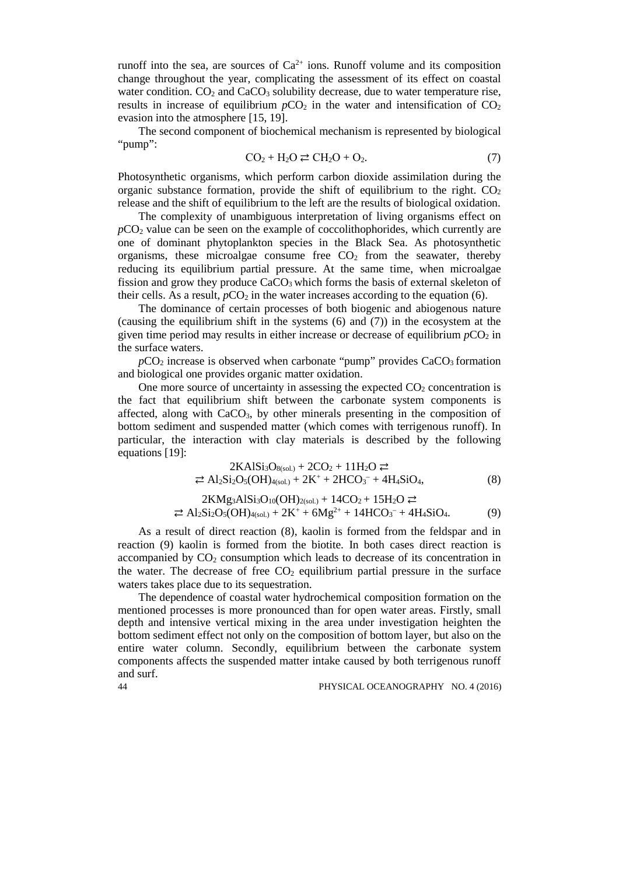runoff into the sea, are sources of  $Ca^{2+}$  ions. Runoff volume and its composition change throughout the year, complicating the assessment of its effect on coastal water condition.  $CO<sub>2</sub>$  and  $CaCO<sub>3</sub>$  solubility decrease, due to water temperature rise, results in increase of equilibrium  $pCO<sub>2</sub>$  in the water and intensification of  $CO<sub>2</sub>$ evasion into the atmosphere [15, 19].

The second component of biochemical mechanism is represented by biological "pump":

$$
CO2 + H2O \rightleftarrows CH2O + O2.
$$
\n(7)

Photosynthetic organisms, which perform carbon dioxide assimilation during the organic substance formation, provide the shift of equilibrium to the right.  $CO<sub>2</sub>$ release and the shift of equilibrium to the left are the results of biological oxidation.

The complexity of unambiguous interpretation of living organisms effect on  $pCO<sub>2</sub>$  value can be seen on the example of coccolithophorides, which currently are one of dominant phytoplankton species in the Black Sea. As photosynthetic organisms, these microalgae consume free  $CO<sub>2</sub>$  from the seawater, thereby reducing its equilibrium partial pressure. At the same time, when microalgae fission and grow they produce  $CaCO<sub>3</sub>$  which forms the basis of external skeleton of their cells. As a result,  $pCO<sub>2</sub>$  in the water increases according to the equation (6).

The dominance of certain processes of both biogenic and abiogenous nature (causing the equilibrium shift in the systems (6) and (7)) in the ecosystem at the given time period may results in either increase or decrease of equilibrium  $pCO<sub>2</sub>$  in the surface waters.

 $pCO<sub>2</sub>$  increase is observed when carbonate "pump" provides  $CaCO<sub>3</sub>$  formation and biological one provides organic matter oxidation.

One more source of uncertainty in assessing the expected  $CO<sub>2</sub>$  concentration is the fact that equilibrium shift between the carbonate system components is affected, along with  $CaCO<sub>3</sub>$ , by other minerals presenting in the composition of bottom sediment and suspended matter (which comes with terrigenous runoff). In particular, the interaction with clay materials is described by the following equations [19]:

$$
2\text{KAISi}_3\text{O}_{8(\text{sol.})} + 2\text{CO}_2 + 11\text{H}_2\text{O} \rightleftarrows
$$
  
\n
$$
\Rightarrow \text{Al}_2\text{Si}_2\text{O}_5(\text{OH})_{4(\text{sol.})} + 2\text{K}^+ + 2\text{HCO}_3^- + 4\text{H}_4\text{SiO}_4,\tag{8}
$$

$$
2KMg_3AlSi_3O_{10}(OH)_{2(sol.)} + 14CO_2 + 15H_2O \rightleftarrows
$$
  

$$
\Rightarrow Al_2Si_2O_5(OH)_{4(sol.)} + 2K^+ + 6Mg^{2+} + 14HCO_3^- + 4H_4SiO_4.
$$
 (9)

As a result of direct reaction (8), kaolin is formed from the feldspar and in reaction (9) kaolin is formed from the biotite. In both cases direct reaction is accompanied by  $CO<sub>2</sub>$  consumption which leads to decrease of its concentration in the water. The decrease of free  $CO<sub>2</sub>$  equilibrium partial pressure in the surface waters takes place due to its sequestration.

The dependence of coastal water hydrochemical composition formation on the mentioned processes is more pronounced than for open water areas. Firstly, small depth and intensive vertical mixing in the area under investigation heighten the bottom sediment effect not only on the composition of bottom layer, but also on the entire water column. Secondly, equilibrium between the carbonate system components affects the suspended matter intake caused by both terrigenous runoff and surf.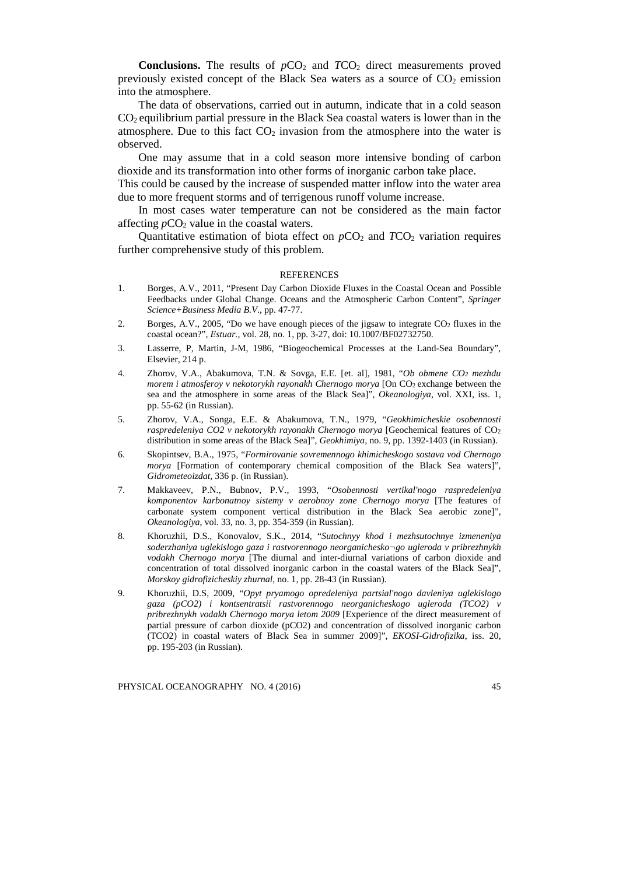**Conclusions.** The results of  $pCO_2$  and  $TCO_2$  direct measurements proved previously existed concept of the Black Sea waters as a source of  $CO<sub>2</sub>$  emission into the atmosphere.

The data of observations, carried out in autumn, indicate that in a cold season CO2 equilibrium partial pressure in the Black Sea coastal waters is lower than in the atmosphere. Due to this fact  $CO<sub>2</sub>$  invasion from the atmosphere into the water is observed.

One may assume that in a cold season more intensive bonding of carbon dioxide and its transformation into other forms of inorganic carbon take place.

This could be caused by the increase of suspended matter inflow into the water area due to more frequent storms and of terrigenous runoff volume increase.

In most cases water temperature can not be considered as the main factor affecting  $pCO<sub>2</sub>$  value in the coastal waters.

Quantitative estimation of biota effect on  $pCO_2$  and  $TCO_2$  variation requires further comprehensive study of this problem.

#### **REFERENCES**

- 1. Borges, A.V., 2011, "Present Day Carbon Dioxide Fluxes in the Coastal Ocean and Possible Feedbacks under Global Change. Oceans and the Atmospheric Carbon Content", *Springer Science+Business Media B.V*., pp. 47-77.
- 2. Borges, A.V., 2005, "Do we have enough pieces of the jigsaw to integrate CO<sub>2</sub> fluxes in the coastal ocean?", *Estuar.*, vol. 28, no. 1, pp. 3-27, doi: 10.1007/BF02732750.
- 3. Lasserre, P, Martin, J-M, 1986, "Biogeochemical Processes at the Land-Sea Boundary", Elsevier, 214 p.
- 4. Zhorov, V.A., Abakumova, T.N. & Sovga, E.E. [et. al], 1981, "*Ob obmene CO2 mezhdu morem i atmosferoy v nekotorykh rayonakh Chernogo morya* [On CO<sub>2</sub> exchange between the sea and the atmosphere in some areas of the Black Sea]", *Okeanologiya*, vol. XXI, iss. 1, pp. 55-62 (in Russian).
- 5. Zhorov, V.A., Songa, E.E. & Abakumova, T.N., 1979, "*Geokhimicheskie osobennosti raspredeleniya CO2 v nekotorykh rayonakh Chernogo morya* [Geochemical features of CO2 distribution in some areas of the Black Sea]", *Geokhimiya*, no. 9, pp. 1392-1403 (in Russian).
- 6. Skopintsev, B.A., 1975, "*Formirovanie sovremennogo khimicheskogo sostava vod Chernogo morya* [Formation of contemporary chemical composition of the Black Sea waters]", *Gidrometeoizdat*, 336 p. (in Russian).
- 7. Makkaveev, P.N., Bubnov, P.V., 1993, "*Osobennosti vertikal'nogo raspredeleniya komponentov karbonatnoy sistemy v aerobnoy zone Chernogo morya* [The features of carbonate system component vertical distribution in the Black Sea aerobic zone]", *Okeanologiya*, vol. 33, no. 3, pp. 354-359 (in Russian).
- 8. Khoruzhii, D.S., Konovalov, S.K., 2014, "*Sutochnyy khod i mezhsutochnye izmeneniya soderzhaniya uglekislogo gaza i rastvorennogo neorganichesko¬go ugleroda v pribrezhnykh vodakh Chernogo morya* [The diurnal and inter-diurnal variations of carbon dioxide and concentration of total dissolved inorganic carbon in the coastal waters of the Black Sea]", *Morskoy gidrofizicheskiy zhurnal*, no. 1, pp. 28-43 (in Russian).
- 9. Khoruzhii, D.S, 2009, "*Opyt pryamogo opredeleniya partsial'nogo davleniya uglekislogo gaza (pCO2) i kontsentratsii rastvorennogo neorganicheskogo ugleroda (TCO2) v pribrezhnykh vodakh Chernogo morya letom 2009* [Experience of the direct measurement of partial pressure of carbon dioxide (pCO2) and concentration of dissolved inorganic carbon (TCO2) in coastal waters of Black Sea in summer 2009]", *EKOSI-Gidrofizika*, iss. 20, pp. 195-203 (in Russian).